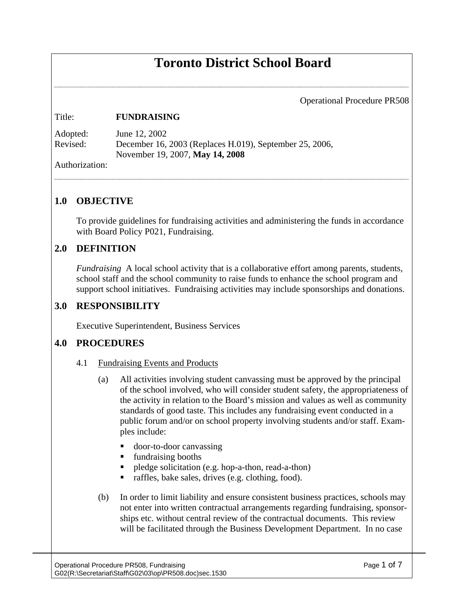# **Toronto District School Board**

Operational Procedure PR508

#### Title: **FUNDRAISING**

| Adopted: | June 12, 2002                                           |
|----------|---------------------------------------------------------|
| Revised: | December 16, 2003 (Replaces H.019), September 25, 2006, |
|          | November 19, 2007, <b>May 14, 2008</b>                  |

Authorization:

## **1.0 OBJECTIVE**

To provide guidelines for fundraising activities and administering the funds in accordance with Board Policy P021, Fundraising.

#### **2.0 DEFINITION**

*Fundraising* A local school activity that is a collaborative effort among parents, students, school staff and the school community to raise funds to enhance the school program and support school initiatives. Fundraising activities may include sponsorships and donations.

#### **3.0 RESPONSIBILITY**

Executive Superintendent, Business Services

#### **4.0 PROCEDURES**

- 4.1 Fundraising Events and Products
	- (a) All activities involving student canvassing must be approved by the principal of the school involved, who will consider student safety, the appropriateness of the activity in relation to the Board's mission and values as well as community standards of good taste. This includes any fundraising event conducted in a public forum and/or on school property involving students and/or staff. Examples include:
		- door-to-door canvassing
		- fundraising booths
		- pledge solicitation (e.g. hop-a-thon, read-a-thon)
		- raffles, bake sales, drives (e.g. clothing, food).
	- (b) In order to limit liability and ensure consistent business practices, schools may not enter into written contractual arrangements regarding fundraising, sponsorships etc. without central review of the contractual documents. This review will be facilitated through the Business Development Department. In no case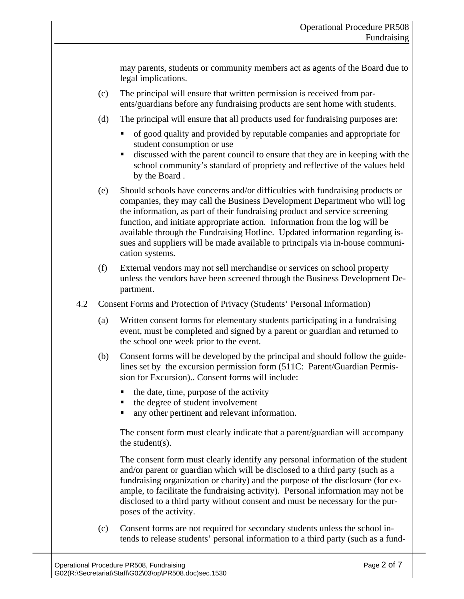may parents, students or community members act as agents of the Board due to legal implications.

- (c) The principal will ensure that written permission is received from parents/guardians before any fundraising products are sent home with students.
- (d) The principal will ensure that all products used for fundraising purposes are:
	- of good quality and provided by reputable companies and appropriate for student consumption or use
	- discussed with the parent council to ensure that they are in keeping with the school community's standard of propriety and reflective of the values held by the Board .
- (e) Should schools have concerns and/or difficulties with fundraising products or companies, they may call the Business Development Department who will log the information, as part of their fundraising product and service screening function, and initiate appropriate action. Information from the log will be available through the Fundraising Hotline. Updated information regarding issues and suppliers will be made available to principals via in-house communication systems.
- (f) External vendors may not sell merchandise or services on school property unless the vendors have been screened through the Business Development Department.
- 4.2 Consent Forms and Protection of Privacy (Students' Personal Information)
	- (a) Written consent forms for elementary students participating in a fundraising event, must be completed and signed by a parent or guardian and returned to the school one week prior to the event.
	- (b) Consent forms will be developed by the principal and should follow the guidelines set by the excursion permission form (511C: Parent/Guardian Permission for Excursion).. Consent forms will include:
		- $\blacksquare$  the date, time, purpose of the activity
		- the degree of student involvement
		- any other pertinent and relevant information.

The consent form must clearly indicate that a parent/guardian will accompany the student( $s$ ).

The consent form must clearly identify any personal information of the student and/or parent or guardian which will be disclosed to a third party (such as a fundraising organization or charity) and the purpose of the disclosure (for example, to facilitate the fundraising activity). Personal information may not be disclosed to a third party without consent and must be necessary for the purposes of the activity.

(c) Consent forms are not required for secondary students unless the school intends to release students' personal information to a third party (such as a fund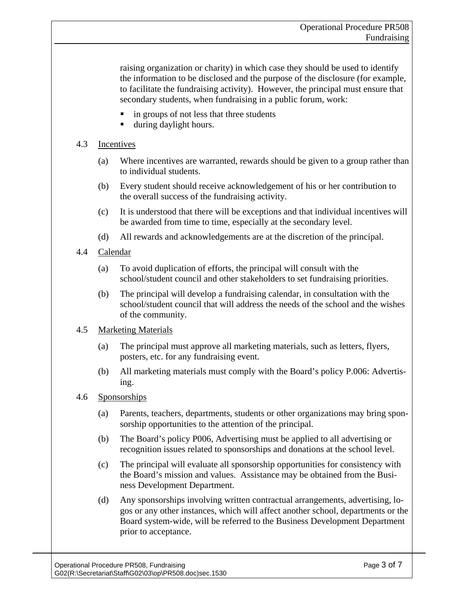raising organization or charity) in which case they should be used to identify the information to be disclosed and the purpose of the disclosure (for example, to facilitate the fundraising activity). However, the principal must ensure that secondary students, when fundraising in a public forum, work:

- in groups of not less that three students
- during daylight hours.

#### 4.3 Incentives

- (a) Where incentives are warranted, rewards should be given to a group rather than to individual students.
- (b) Every student should receive acknowledgement of his or her contribution to the overall success of the fundraising activity.
- (c) It is understood that there will be exceptions and that individual incentives will be awarded from time to time, especially at the secondary level.
- (d) All rewards and acknowledgements are at the discretion of the principal.
- 4.4 Calendar
	- (a) To avoid duplication of efforts, the principal will consult with the school/student council and other stakeholders to set fundraising priorities.
	- (b) The principal will develop a fundraising calendar, in consultation with the school/student council that will address the needs of the school and the wishes of the community.

#### 4.5 Marketing Materials

- (a) The principal must approve all marketing materials, such as letters, flyers, posters, etc. for any fundraising event.
- (b) All marketing materials must comply with the Board's policy P.006: Advertising.

#### 4.6 Sponsorships

- (a) Parents, teachers, departments, students or other organizations may bring sponsorship opportunities to the attention of the principal.
- (b) The Board's policy P006, Advertising must be applied to all advertising or recognition issues related to sponsorships and donations at the school level.
- (c) The principal will evaluate all sponsorship opportunities for consistency with the Board's mission and values. Assistance may be obtained from the Business Development Department.
- (d) Any sponsorships involving written contractual arrangements, advertising, logos or any other instances, which will affect another school, departments or the Board system-wide, will be referred to the Business Development Department prior to acceptance.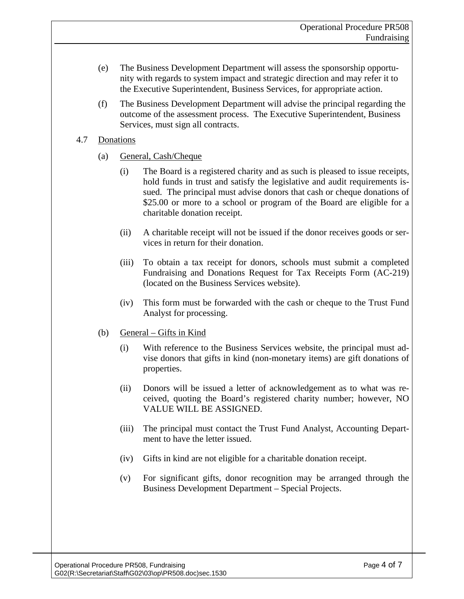- (e) The Business Development Department will assess the sponsorship opportunity with regards to system impact and strategic direction and may refer it to the Executive Superintendent, Business Services, for appropriate action.
- (f) The Business Development Department will advise the principal regarding the outcome of the assessment process. The Executive Superintendent, Business Services, must sign all contracts.

#### 4.7 Donations

- (a) General, Cash/Cheque
	- (i) The Board is a registered charity and as such is pleased to issue receipts, hold funds in trust and satisfy the legislative and audit requirements issued. The principal must advise donors that cash or cheque donations of \$25.00 or more to a school or program of the Board are eligible for a charitable donation receipt.
	- (ii) A charitable receipt will not be issued if the donor receives goods or services in return for their donation.
	- (iii) To obtain a tax receipt for donors, schools must submit a completed Fundraising and Donations Request for Tax Receipts Form (AC-219) (located on the Business Services website).
	- (iv) This form must be forwarded with the cash or cheque to the Trust Fund Analyst for processing.
- (b) General Gifts in Kind
	- (i) With reference to the Business Services website, the principal must advise donors that gifts in kind (non-monetary items) are gift donations of properties.
	- (ii) Donors will be issued a letter of acknowledgement as to what was received, quoting the Board's registered charity number; however, NO VALUE WILL BE ASSIGNED.
	- (iii) The principal must contact the Trust Fund Analyst, Accounting Department to have the letter issued.
	- (iv) Gifts in kind are not eligible for a charitable donation receipt.
	- (v) For significant gifts, donor recognition may be arranged through the Business Development Department – Special Projects.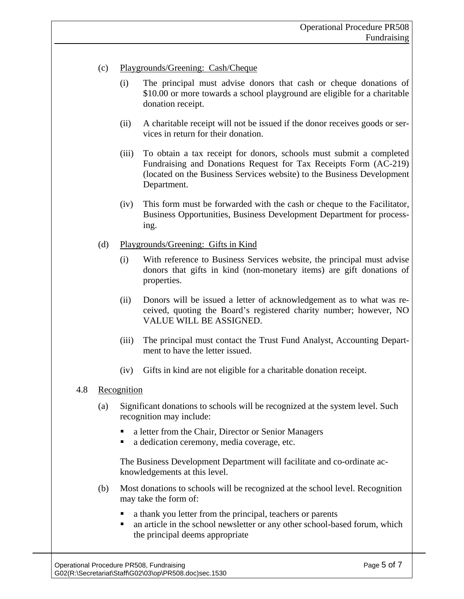#### (c) Playgrounds/Greening: Cash/Cheque

- (i) The principal must advise donors that cash or cheque donations of \$10.00 or more towards a school playground are eligible for a charitable donation receipt.
- (ii) A charitable receipt will not be issued if the donor receives goods or services in return for their donation.
- (iii) To obtain a tax receipt for donors, schools must submit a completed Fundraising and Donations Request for Tax Receipts Form (AC-219) (located on the Business Services website) to the Business Development Department.
- (iv) This form must be forwarded with the cash or cheque to the Facilitator, Business Opportunities, Business Development Department for processing.

#### (d) Playgrounds/Greening: Gifts in Kind

- (i) With reference to Business Services website, the principal must advise donors that gifts in kind (non-monetary items) are gift donations of properties.
- (ii) Donors will be issued a letter of acknowledgement as to what was received, quoting the Board's registered charity number; however, NO VALUE WILL BE ASSIGNED.
- (iii) The principal must contact the Trust Fund Analyst, Accounting Department to have the letter issued.
- (iv) Gifts in kind are not eligible for a charitable donation receipt.

#### 4.8 Recognition

- (a) Significant donations to schools will be recognized at the system level. Such recognition may include:
	- a letter from the Chair, Director or Senior Managers
	- a dedication ceremony, media coverage, etc.

The Business Development Department will facilitate and co-ordinate acknowledgements at this level.

- (b) Most donations to schools will be recognized at the school level. Recognition may take the form of:
	- a thank you letter from the principal, teachers or parents
	- an article in the school newsletter or any other school-based forum, which the principal deems appropriate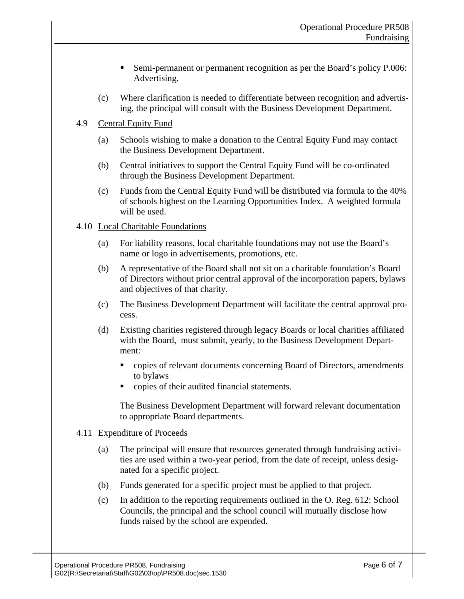- Semi-permanent or permanent recognition as per the Board's policy P.006: Advertising.
- (c) Where clarification is needed to differentiate between recognition and advertising, the principal will consult with the Business Development Department.

## 4.9 Central Equity Fund

- (a) Schools wishing to make a donation to the Central Equity Fund may contact the Business Development Department.
- (b) Central initiatives to support the Central Equity Fund will be co-ordinated through the Business Development Department.
- (c) Funds from the Central Equity Fund will be distributed via formula to the 40% of schools highest on the Learning Opportunities Index. A weighted formula will be used.

## 4.10 Local Charitable Foundations

- (a) For liability reasons, local charitable foundations may not use the Board's name or logo in advertisements, promotions, etc.
- (b) A representative of the Board shall not sit on a charitable foundation's Board of Directors without prior central approval of the incorporation papers, bylaws and objectives of that charity.
- (c) The Business Development Department will facilitate the central approval process.
- (d) Existing charities registered through legacy Boards or local charities affiliated with the Board, must submit, yearly, to the Business Development Department:
	- copies of relevant documents concerning Board of Directors, amendments to bylaws
	- copies of their audited financial statements.

The Business Development Department will forward relevant documentation to appropriate Board departments.

## 4.11 Expenditure of Proceeds

- (a) The principal will ensure that resources generated through fundraising activities are used within a two-year period, from the date of receipt, unless designated for a specific project.
- (b) Funds generated for a specific project must be applied to that project.
- (c) In addition to the reporting requirements outlined in the O. Reg. 612: School Councils, the principal and the school council will mutually disclose how funds raised by the school are expended.